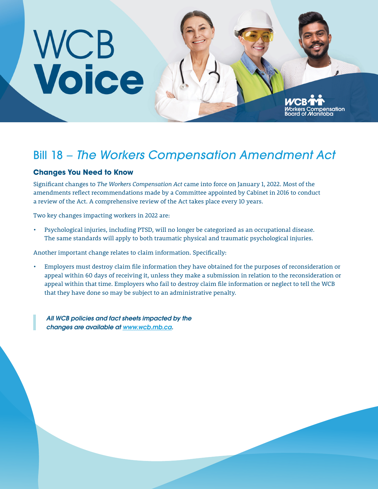# WCB<br>Voice

## Bill 18 – *The Workers Compensation Amendment Act*

nsation

### **Changes You Need to Know**

Significant changes to *The Workers Compensation Act* came into force on January 1, 2022. Most of the amendments reflect recommendations made by a Committee appointed by Cabinet in 2016 to conduct a review of the Act. A comprehensive review of the Act takes place every 10 years.

Two key changes impacting workers in 2022 are:

• Psychological injuries, including PTSD, will no longer be categorized as an occupational disease. The same standards will apply to both traumatic physical and traumatic psychological injuries.

Another important change relates to claim information. Specifically:

• Employers must destroy claim file information they have obtained for the purposes of reconsideration or appeal within 60 days of receiving it, unless they make a submission in relation to the reconsideration or appeal within that time. Employers who fail to destroy claim file information or neglect to tell the WCB that they have done so may be subject to an administrative penalty.

*All WCB policies and fact sheets impacted by the changes are available at [www.wcb.mb.ca](http://www.wcb.mb.ca).*